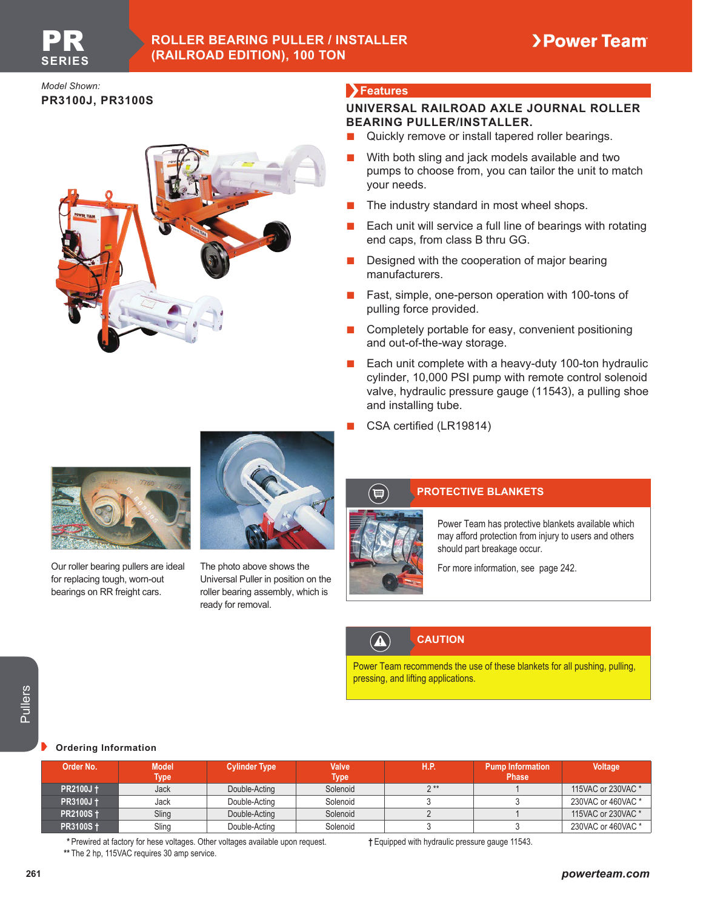## **ROLLER BEARING PULLER / INSTALLER (RAILROAD EDITION), 100 TON**

*Model Shown:* **PR3100J, PR3100S**

## **Features**

#### **UNIVERSAL RAILROAD AXLE JOURNAL ROLLER BEARING PULLER/INSTALLER.**

- Quickly remove or install tapered roller bearings.
- With both sling and jack models available and two pumps to choose from, you can tailor the unit to match your needs.
- The industry standard in most wheel shops.
- Each unit will service a full line of bearings with rotating end caps, from class B thru GG.
- **Designed with the cooperation of major bearing** manufacturers.
- Fast, simple, one-person operation with 100-tons of pulling force provided.
- Completely portable for easy, convenient positioning and out-of-the-way storage.
- Each unit complete with a heavy-duty 100-ton hydraulic cylinder, 10,000 PSI pump with remote control solenoid valve, hydraulic pressure gauge (11543), a pulling shoe and installing tube.
- CSA certified (LR19814)



Our roller bearing pullers are ideal for replacing tough, worn-out bearings on RR freight cars.



The photo above shows the Universal Puller in position on the roller bearing assembly, which is ready for removal.



 $\Lambda$ 

# **PROTECTIVE BLANKETS**

Power Team has protective blankets available which may afford protection from injury to users and others should part breakage occur.

For more information, see page 242.

# **CAUTION**

Power Team recommends the use of these blankets for all pushing, pulling, pressing, and lifting applications.

#### **Ordering Information**

| <b>Ordering Information</b> |                                              |                                                                                 |                             |                                                 |                                         |                    |
|-----------------------------|----------------------------------------------|---------------------------------------------------------------------------------|-----------------------------|-------------------------------------------------|-----------------------------------------|--------------------|
| Order No.                   | <b>Model</b><br><b>Type</b>                  | <b>Cylinder Type</b>                                                            | <b>Valve</b><br><b>Type</b> | <b>H.P.</b>                                     | <b>Pump Information</b><br><b>Phase</b> | Voltage            |
| <b>PR2100J</b> +            | Jack                                         | Double-Acting                                                                   | Solenoid                    | $2**$                                           |                                         | 115VAC or 230VAC * |
| <b>PR3100J +</b>            | Jack                                         | Double-Acting                                                                   | Solenoid                    | 3                                               |                                         | 230VAC or 460VAC * |
| <b>PR2100S</b> +            | Sling                                        | Double-Acting                                                                   | Solenoid                    | $\overline{2}$                                  |                                         | 115VAC or 230VAC * |
| <b>PR3100S +</b>            | Sling                                        | Double-Acting                                                                   | Solenoid                    | 3                                               | 3                                       | 230VAC or 460VAC * |
|                             |                                              | * Prewired at factory for hese voltages. Other voltages available upon request. |                             | † Equipped with hydraulic pressure gauge 11543. |                                         |                    |
|                             | ** The 2 hp, 115VAC requires 30 amp service. |                                                                                 |                             |                                                 |                                         |                    |